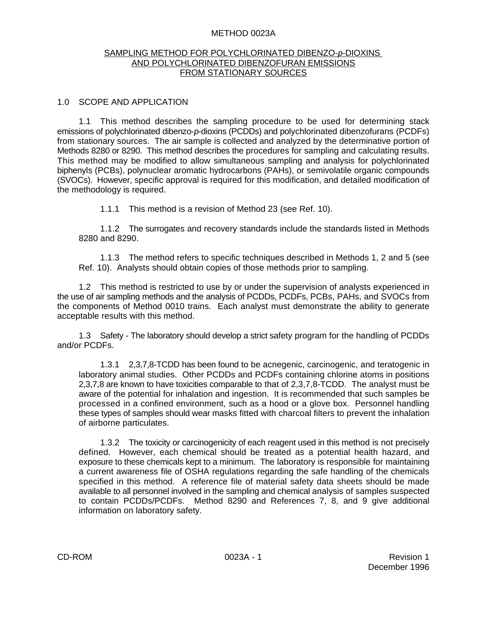#### METHOD 0023A

#### SAMPLING METHOD FOR POLYCHLORINATED DIBENZO-*p*-DIOXINS AND POLYCHLORINATED DIBENZOFURAN EMISSIONS FROM STATIONARY SOURCES

#### 1.0 SCOPE AND APPLICATION

1.1 This method describes the sampling procedure to be used for determining stack emissions of polychlorinated dibenzo-*p*-dioxins (PCDDs) and polychlorinated dibenzofurans (PCDFs) from stationary sources. The air sample is collected and analyzed by the determinative portion of Methods 8280 or 8290. This method describes the procedures for sampling and calculating results. This method may be modified to allow simultaneous sampling and analysis for polychlorinated biphenyls (PCBs), polynuclear aromatic hydrocarbons (PAHs), or semivolatile organic compounds (SVOCs). However, specific approval is required for this modification, and detailed modification of the methodology is required.

1.1.1 This method is a revision of Method 23 (see Ref. 10).

1.1.2 The surrogates and recovery standards include the standards listed in Methods 8280 and 8290.

1.1.3 The method refers to specific techniques described in Methods 1, 2 and 5 (see Ref. 10). Analysts should obtain copies of those methods prior to sampling.

1.2 This method is restricted to use by or under the supervision of analysts experienced in the use of air sampling methods and the analysis of PCDDs, PCDFs, PCBs, PAHs, and SVOCs from the components of Method 0010 trains. Each analyst must demonstrate the ability to generate acceptable results with this method.

1.3 Safety - The laboratory should develop a strict safety program for the handling of PCDDs and/or PCDFs.

1.3.1 2,3,7,8-TCDD has been found to be acnegenic, carcinogenic, and teratogenic in laboratory animal studies. Other PCDDs and PCDFs containing chlorine atoms in positions 2,3,7,8 are known to have toxicities comparable to that of 2,3,7,8-TCDD. The analyst must be aware of the potential for inhalation and ingestion. It is recommended that such samples be processed in a confined environment, such as a hood or a glove box. Personnel handling these types of samples should wear masks fitted with charcoal filters to prevent the inhalation of airborne particulates.

1.3.2 The toxicity or carcinogenicity of each reagent used in this method is not precisely defined. However, each chemical should be treated as a potential health hazard, and exposure to these chemicals kept to a minimum. The laboratory is responsible for maintaining a current awareness file of OSHA regulations regarding the safe handling of the chemicals specified in this method. A reference file of material safety data sheets should be made available to all personnel involved in the sampling and chemical analysis of samples suspected to contain PCDDs/PCDFs. Method 8290 and References 7, 8, and 9 give additional information on laboratory safety.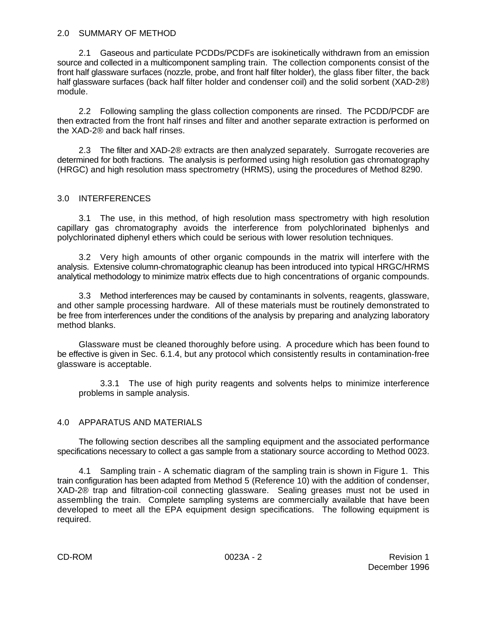## 2.0 SUMMARY OF METHOD

2.1 Gaseous and particulate PCDDs/PCDFs are isokinetically withdrawn from an emission source and collected in a multicomponent sampling train. The collection components consist of the front half glassware surfaces (nozzle, probe, and front half filter holder), the glass fiber filter, the back half glassware surfaces (back half filter holder and condenser coil) and the solid sorbent (XAD-2®) module.

2.2 Following sampling the glass collection components are rinsed. The PCDD/PCDF are then extracted from the front half rinses and filter and another separate extraction is performed on the XAD-2® and back half rinses.

2.3 The filter and XAD-2® extracts are then analyzed separately. Surrogate recoveries are determined for both fractions. The analysis is performed using high resolution gas chromatography (HRGC) and high resolution mass spectrometry (HRMS), using the procedures of Method 8290.

# 3.0 INTERFERENCES

3.1 The use, in this method, of high resolution mass spectrometry with high resolution capillary gas chromatography avoids the interference from polychlorinated biphenlys and polychlorinated diphenyl ethers which could be serious with lower resolution techniques.

3.2 Very high amounts of other organic compounds in the matrix will interfere with the analysis. Extensive column-chromatographic cleanup has been introduced into typical HRGC/HRMS analytical methodology to minimize matrix effects due to high concentrations of organic compounds.

3.3 Method interferences may be caused by contaminants in solvents, reagents, glassware, and other sample processing hardware. All of these materials must be routinely demonstrated to be free from interferences under the conditions of the analysis by preparing and analyzing laboratory method blanks.

Glassware must be cleaned thoroughly before using. A procedure which has been found to be effective is given in Sec. 6.1.4, but any protocol which consistently results in contamination-free glassware is acceptable.

3.3.1 The use of high purity reagents and solvents helps to minimize interference problems in sample analysis.

# 4.0 APPARATUS AND MATERIALS

The following section describes all the sampling equipment and the associated performance specifications necessary to collect a gas sample from a stationary source according to Method 0023.

4.1 Sampling train - A schematic diagram of the sampling train is shown in Figure 1. This train configuration has been adapted from Method 5 (Reference 10) with the addition of condenser, XAD-2® trap and filtration-coil connecting glassware. Sealing greases must not be used in assembling the train. Complete sampling systems are commercially available that have been developed to meet all the EPA equipment design specifications. The following equipment is required.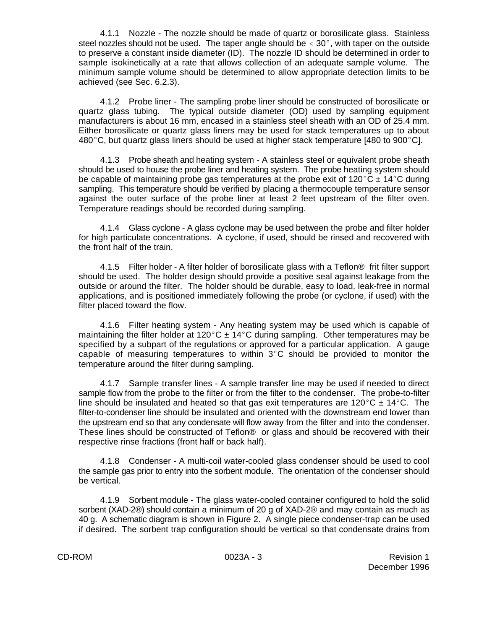4.1.1 Nozzle - The nozzle should be made of quartz or borosilicate glass. Stainless steel nozzles should not be used. The taper angle should be  $\leq 30^{\circ}$ , with taper on the outside to preserve a constant inside diameter (ID). The nozzle ID should be determined in order to sample isokinetically at a rate that allows collection of an adequate sample volume. The minimum sample volume should be determined to allow appropriate detection limits to be achieved (see Sec. 6.2.3).

4.1.2 Probe liner - The sampling probe liner should be constructed of borosilicate or quartz glass tubing. The typical outside diameter (OD) used by sampling equipment manufacturers is about 16 mm, encased in a stainless steel sheath with an OD of 25.4 mm. Either borosilicate or quartz glass liners may be used for stack temperatures up to about 480 $^{\circ}$ C, but quartz glass liners should be used at higher stack temperature [480 to 900 $^{\circ}$ C].

4.1.3 Probe sheath and heating system - A stainless steel or equivalent probe sheath should be used to house the probe liner and heating system. The probe heating system should be capable of maintaining probe gas temperatures at the probe exit of 120°C  $\pm$  14°C during sampling. This temperature should be verified by placing a thermocouple temperature sensor against the outer surface of the probe liner at least 2 feet upstream of the filter oven. Temperature readings should be recorded during sampling.

4.1.4 Glass cyclone - A glass cyclone may be used between the probe and filter holder for high particulate concentrations. A cyclone, if used, should be rinsed and recovered with the front half of the train.

4.1.5 Filter holder - A filter holder of borosilicate glass with a Teflon® frit filter support should be used. The holder design should provide a positive seal against leakage from the outside or around the filter. The holder should be durable, easy to load, leak-free in normal applications, and is positioned immediately following the probe (or cyclone, if used) with the filter placed toward the flow.

4.1.6 Filter heating system - Any heating system may be used which is capable of maintaining the filter holder at 120 $^{\circ}$ C  $\pm$  14 $^{\circ}$ C during sampling. Other temperatures may be specified by a subpart of the regulations or approved for a particular application. A gauge capable of measuring temperatures to within  $3^{\circ}$ C should be provided to monitor the temperature around the filter during sampling.

4.1.7 Sample transfer lines - A sample transfer line may be used if needed to direct sample flow from the probe to the filter or from the filter to the condenser. The probe-to-filter line should be insulated and heated so that gas exit temperatures are 120 °C  $\pm$  14 °C. The filter-to-condenser line should be insulated and oriented with the downstream end lower than the upstream end so that any condensate will flow away from the filter and into the condenser. These lines should be constructed of Teflon® or glass and should be recovered with their respective rinse fractions (front half or back half).

4.1.8 Condenser - A multi-coil water-cooled glass condenser should be used to cool the sample gas prior to entry into the sorbent module. The orientation of the condenser should be vertical.

4.1.9 Sorbent module - The glass water-cooled container configured to hold the solid sorbent (XAD-2®) should contain a minimum of 20 g of XAD-2® and may contain as much as 40 g. A schematic diagram is shown in Figure 2. A single piece condenser-trap can be used if desired. The sorbent trap configuration should be vertical so that condensate drains from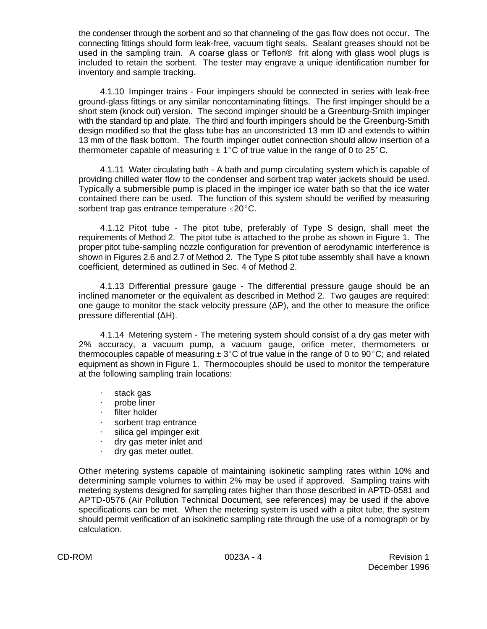the condenser through the sorbent and so that channeling of the gas flow does not occur. The connecting fittings should form leak-free, vacuum tight seals. Sealant greases should not be used in the sampling train. A coarse glass or Teflon® frit along with glass wool plugs is included to retain the sorbent. The tester may engrave a unique identification number for inventory and sample tracking.

4.1.10 Impinger trains - Four impingers should be connected in series with leak-free ground-glass fittings or any similar noncontaminating fittings. The first impinger should be a short stem (knock out) version. The second impinger should be a Greenburg-Smith impinger with the standard tip and plate. The third and fourth impingers should be the Greenburg-Smith design modified so that the glass tube has an unconstricted 13 mm ID and extends to within 13 mm of the flask bottom. The fourth impinger outlet connection should allow insertion of a thermometer capable of measuring  $\pm 1^{\circ}$ C of true value in the range of 0 to 25 $^{\circ}$ C.

4.1.11 Water circulating bath - A bath and pump circulating system which is capable of providing chilled water flow to the condenser and sorbent trap water jackets should be used. Typically a submersible pump is placed in the impinger ice water bath so that the ice water contained there can be used. The function of this system should be verified by measuring sorbent trap gas entrance temperature  $\leq 20^{\circ}$ C.

4.1.12 Pitot tube - The pitot tube, preferably of Type S design, shall meet the requirements of Method 2. The pitot tube is attached to the probe as shown in Figure 1. The proper pitot tube-sampling nozzle configuration for prevention of aerodynamic interference is shown in Figures 2.6 and 2.7 of Method 2. The Type S pitot tube assembly shall have a known coefficient, determined as outlined in Sec. 4 of Method 2.

4.1.13 Differential pressure gauge - The differential pressure gauge should be an inclined manometer or the equivalent as described in Method 2. Two gauges are required: one gauge to monitor the stack velocity pressure  $(\Delta P)$ , and the other to measure the orifice pressure differential  $(\Delta H)$ .

4.1.14 Metering system - The metering system should consist of a dry gas meter with 2% accuracy, a vacuum pump, a vacuum gauge, orifice meter, thermometers or thermocouples capable of measuring  $\pm 3^{\circ}$ C of true value in the range of 0 to 90°C; and related equipment as shown in Figure 1. Thermocouples should be used to monitor the temperature at the following sampling train locations:

- $\cdot$  stack gas
- probe liner
- $\cdot$  filter holder
- sorbent trap entrance
- $\cdot$  silica gel impinger exit
- $\cdot$  dry gas meter inlet and
- $\cdot$  dry gas meter outlet.

Other metering systems capable of maintaining isokinetic sampling rates within 10% and determining sample volumes to within 2% may be used if approved. Sampling trains with metering systems designed for sampling rates higher than those described in APTD-0581 and APTD-0576 (Air Pollution Technical Document, see references) may be used if the above specifications can be met. When the metering system is used with a pitot tube, the system should permit verification of an isokinetic sampling rate through the use of a nomograph or by calculation.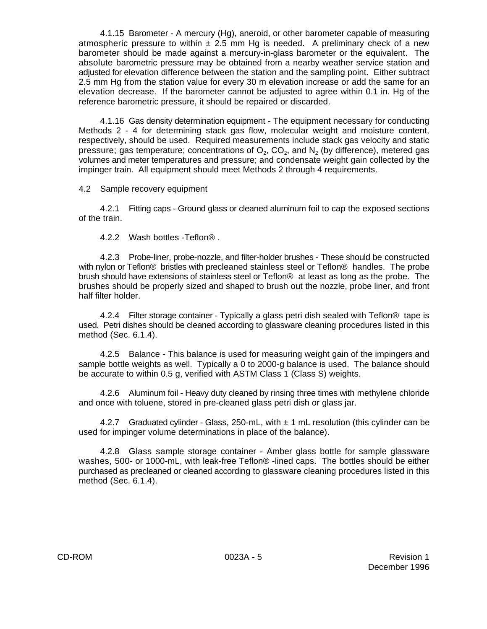4.1.15 Barometer - A mercury (Hg), aneroid, or other barometer capable of measuring atmospheric pressure to within  $\pm$  2.5 mm Hg is needed. A preliminary check of a new barometer should be made against a mercury-in-glass barometer or the equivalent. The absolute barometric pressure may be obtained from a nearby weather service station and adjusted for elevation difference between the station and the sampling point. Either subtract 2.5 mm Hg from the station value for every 30 m elevation increase or add the same for an elevation decrease. If the barometer cannot be adjusted to agree within 0.1 in. Hg of the reference barometric pressure, it should be repaired or discarded.

4.1.16 Gas density determination equipment - The equipment necessary for conducting Methods 2 - 4 for determining stack gas flow, molecular weight and moisture content, respectively, should be used. Required measurements include stack gas velocity and static pressure; gas temperature; concentrations of  $\mathsf{O}_2$ , CO $_2$ , and  $\mathsf{N}_2$  (by difference), metered gas volumes and meter temperatures and pressure; and condensate weight gain collected by the impinger train. All equipment should meet Methods 2 through 4 requirements.

4.2 Sample recovery equipment

4.2.1 Fitting caps - Ground glass or cleaned aluminum foil to cap the exposed sections of the train.

4.2.2 Wash bottles -Teflon® .

4.2.3 Probe-liner, probe-nozzle, and filter-holder brushes - These should be constructed with nylon or Teflon® bristles with precleaned stainless steel or Teflon® handles. The probe brush should have extensions of stainless steel or Teflon® at least as long as the probe. The brushes should be properly sized and shaped to brush out the nozzle, probe liner, and front half filter holder.

4.2.4 Filter storage container - Typically a glass petri dish sealed with Teflon® tape is used. Petri dishes should be cleaned according to glassware cleaning procedures listed in this method (Sec. 6.1.4).

4.2.5 Balance - This balance is used for measuring weight gain of the impingers and sample bottle weights as well. Typically a 0 to 2000-g balance is used. The balance should be accurate to within 0.5 g, verified with ASTM Class 1 (Class S) weights.

4.2.6 Aluminum foil - Heavy duty cleaned by rinsing three times with methylene chloride and once with toluene, stored in pre-cleaned glass petri dish or glass jar.

4.2.7 Graduated cylinder - Glass, 250-mL, with  $\pm$  1 mL resolution (this cylinder can be used for impinger volume determinations in place of the balance).

4.2.8 Glass sample storage container - Amber glass bottle for sample glassware washes, 500- or 1000-mL, with leak-free Teflon® -lined caps. The bottles should be either purchased as precleaned or cleaned according to glassware cleaning procedures listed in this method (Sec. 6.1.4).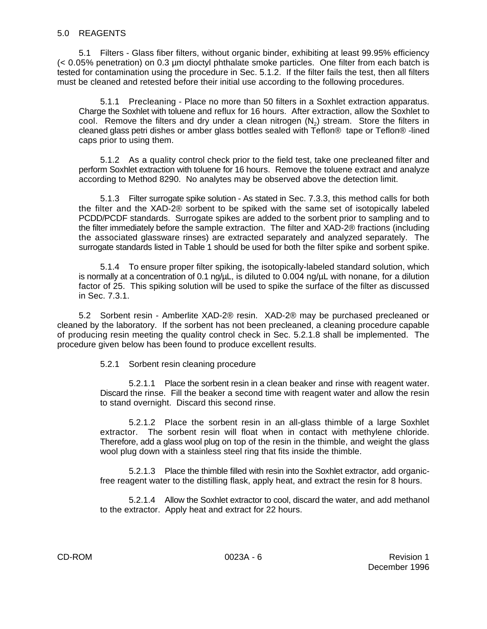5.1 Filters - Glass fiber filters, without organic binder, exhibiting at least 99.95% efficiency (< 0.05% penetration) on 0.3 µm dioctyl phthalate smoke particles. One filter from each batch is tested for contamination using the procedure in Sec. 5.1.2. If the filter fails the test, then all filters must be cleaned and retested before their initial use according to the following procedures.

5.1.1 Precleaning - Place no more than 50 filters in a Soxhlet extraction apparatus. Charge the Soxhlet with toluene and reflux for 16 hours. After extraction, allow the Soxhlet to cool. Remove the filters and dry under a clean nitrogen (N<sub>2</sub>) stream. Store the filters in cleaned glass petri dishes or amber glass bottles sealed with Teflon® tape or Teflon® -lined caps prior to using them.

5.1.2 As a quality control check prior to the field test, take one precleaned filter and perform Soxhlet extraction with toluene for 16 hours. Remove the toluene extract and analyze according to Method 8290. No analytes may be observed above the detection limit.

5.1.3 Filter surrogate spike solution - As stated in Sec. 7.3.3, this method calls for both the filter and the XAD-2® sorbent to be spiked with the same set of isotopically labeled PCDD/PCDF standards. Surrogate spikes are added to the sorbent prior to sampling and to the filter immediately before the sample extraction. The filter and XAD-2® fractions (including the associated glassware rinses) are extracted separately and analyzed separately. The surrogate standards listed in Table 1 should be used for both the filter spike and sorbent spike.

5.1.4 To ensure proper filter spiking, the isotopically-labeled standard solution, which is normally at a concentration of 0.1 ng/µL, is diluted to 0.004 ng/µL with nonane, for a dilution factor of 25. This spiking solution will be used to spike the surface of the filter as discussed in Sec. 7.3.1.

5.2 Sorbent resin - Amberlite XAD-2® resin. XAD-2® may be purchased precleaned or cleaned by the laboratory. If the sorbent has not been precleaned, a cleaning procedure capable of producing resin meeting the quality control check in Sec. 5.2.1.8 shall be implemented. The procedure given below has been found to produce excellent results.

5.2.1 Sorbent resin cleaning procedure

5.2.1.1 Place the sorbent resin in a clean beaker and rinse with reagent water. Discard the rinse. Fill the beaker a second time with reagent water and allow the resin to stand overnight. Discard this second rinse.

5.2.1.2 Place the sorbent resin in an all-glass thimble of a large Soxhlet extractor. The sorbent resin will float when in contact with methylene chloride. Therefore, add a glass wool plug on top of the resin in the thimble, and weight the glass wool plug down with a stainless steel ring that fits inside the thimble.

5.2.1.3 Place the thimble filled with resin into the Soxhlet extractor, add organicfree reagent water to the distilling flask, apply heat, and extract the resin for 8 hours.

5.2.1.4 Allow the Soxhlet extractor to cool, discard the water, and add methanol to the extractor. Apply heat and extract for 22 hours.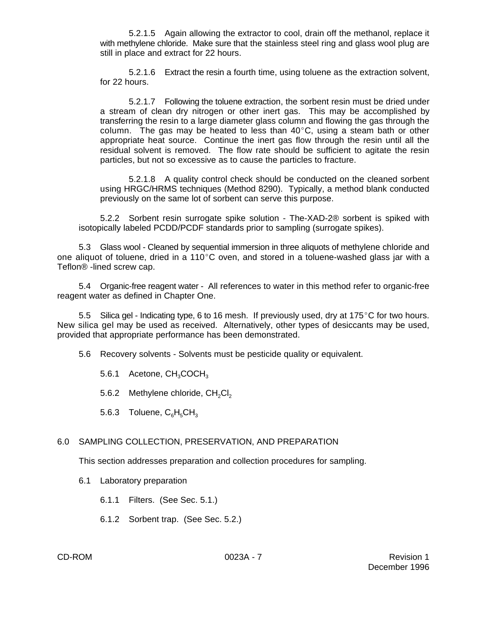5.2.1.5 Again allowing the extractor to cool, drain off the methanol, replace it with methylene chloride. Make sure that the stainless steel ring and glass wool plug are still in place and extract for 22 hours.

5.2.1.6 Extract the resin a fourth time, using toluene as the extraction solvent, for 22 hours.

5.2.1.7 Following the toluene extraction, the sorbent resin must be dried under a stream of clean dry nitrogen or other inert gas. This may be accomplished by transferring the resin to a large diameter glass column and flowing the gas through the column. The gas may be heated to less than  $40^{\circ}$ C, using a steam bath or other appropriate heat source. Continue the inert gas flow through the resin until all the residual solvent is removed. The flow rate should be sufficient to agitate the resin particles, but not so excessive as to cause the particles to fracture.

5.2.1.8 A quality control check should be conducted on the cleaned sorbent using HRGC/HRMS techniques (Method 8290). Typically, a method blank conducted previously on the same lot of sorbent can serve this purpose.

5.2.2 Sorbent resin surrogate spike solution - The-XAD-2® sorbent is spiked with isotopically labeled PCDD/PCDF standards prior to sampling (surrogate spikes).

5.3 Glass wool - Cleaned by sequential immersion in three aliquots of methylene chloride and one aliquot of toluene, dried in a 110 $^{\circ}$ C oven, and stored in a toluene-washed glass jar with a Teflon® -lined screw cap.

5.4 Organic-free reagent water - All references to water in this method refer to organic-free reagent water as defined in Chapter One.

5.5 Silica gel - Indicating type, 6 to 16 mesh. If previously used, dry at  $175^{\circ}$ C for two hours. New silica gel may be used as received. Alternatively, other types of desiccants may be used, provided that appropriate performance has been demonstrated.

5.6 Recovery solvents - Solvents must be pesticide quality or equivalent.

5.6.1 Acetone, CH<sub>3</sub>COCH<sub>3</sub>

5.6.2 Methylene chloride,  $CH<sub>2</sub>Cl<sub>2</sub>$ 

5.6.3 Toluene,  $C_6H_5CH_3$ 

#### 6.0 SAMPLING COLLECTION, PRESERVATION, AND PREPARATION

This section addresses preparation and collection procedures for sampling.

6.1 Laboratory preparation

6.1.1 Filters. (See Sec. 5.1.)

6.1.2 Sorbent trap. (See Sec. 5.2.)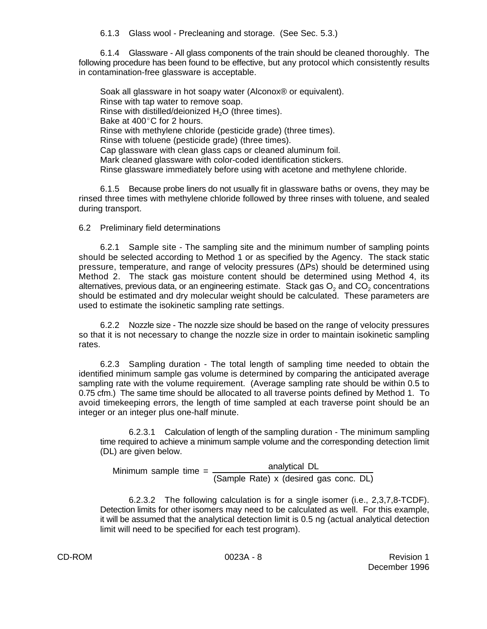6.1.3 Glass wool - Precleaning and storage. (See Sec. 5.3.)

6.1.4 Glassware - All glass components of the train should be cleaned thoroughly. The following procedure has been found to be effective, but any protocol which consistently results in contamination-free glassware is acceptable.

Soak all glassware in hot soapy water (Alconox® or equivalent). Rinse with tap water to remove soap. Rinse with distilled/deionized  $H<sub>2</sub>O$  (three times). Bake at  $400^{\circ}$ C for 2 hours. Rinse with methylene chloride (pesticide grade) (three times). Rinse with toluene (pesticide grade) (three times). Cap glassware with clean glass caps or cleaned aluminum foil. Mark cleaned glassware with color-coded identification stickers. Rinse glassware immediately before using with acetone and methylene chloride.

6.1.5 Because probe liners do not usually fit in glassware baths or ovens, they may be rinsed three times with methylene chloride followed by three rinses with toluene, and sealed during transport.

6.2 Preliminary field determinations

6.2.1 Sample site - The sampling site and the minimum number of sampling points should be selected according to Method 1 or as specified by the Agency. The stack static pressure, temperature, and range of velocity pressures  $(\Delta PS)$  should be determined using Method 2. The stack gas moisture content should be determined using Method 4, its alternatives, previous data, or an engineering estimate. Stack gas  $\mathrm{O}_2$  and  $\mathrm{CO}_2$  concentrations should be estimated and dry molecular weight should be calculated. These parameters are used to estimate the isokinetic sampling rate settings.

6.2.2 Nozzle size - The nozzle size should be based on the range of velocity pressures so that it is not necessary to change the nozzle size in order to maintain isokinetic sampling rates.

6.2.3 Sampling duration - The total length of sampling time needed to obtain the identified minimum sample gas volume is determined by comparing the anticipated average sampling rate with the volume requirement. (Average sampling rate should be within 0.5 to 0.75 cfm.) The same time should be allocated to all traverse points defined by Method 1. To avoid timekeeping errors, the length of time sampled at each traverse point should be an integer or an integer plus one-half minute.

6.2.3.1 Calculation of length of the sampling duration - The minimum sampling time required to achieve a minimum sample volume and the corresponding detection limit (DL) are given below.

Minimum sample time =  $\frac{1}{2}$  analytical DL (Sample Rate) x (desired gas conc. DL)

6.2.3.2 The following calculation is for a single isomer (i.e., 2,3,7,8-TCDF). Detection limits for other isomers may need to be calculated as well. For this example, it will be assumed that the analytical detection limit is 0.5 ng (actual analytical detection limit will need to be specified for each test program).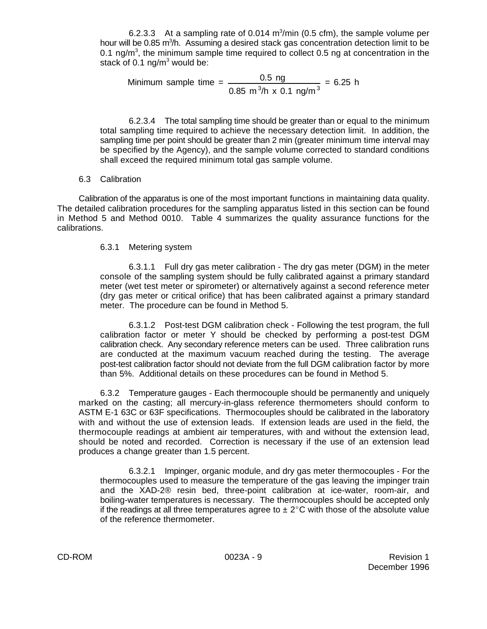6.2.3.3 At a sampling rate of 0.014  $m^3/m$ in (0.5 cfm), the sample volume per hour will be 0.85 m<sup>3</sup>/h. Assuming a desired stack gas concentration detection limit to be 0.1 ng/m<sup>3</sup>, the minimum sample time required to collect 0.5 ng at concentration in the stack of 0.1  $na/m<sup>3</sup>$  would be:

Minimum sample time = 
$$
\frac{0.5 \text{ ng}}{0.85 \text{ m}^3/\text{h} \times 0.1 \text{ ng/m}^3} = 6.25 \text{ h}
$$

6.2.3.4 The total sampling time should be greater than or equal to the minimum total sampling time required to achieve the necessary detection limit. In addition, the sampling time per point should be greater than 2 min (greater minimum time interval may be specified by the Agency), and the sample volume corrected to standard conditions shall exceed the required minimum total gas sample volume.

## 6.3 Calibration

Calibration of the apparatus is one of the most important functions in maintaining data quality. The detailed calibration procedures for the sampling apparatus listed in this section can be found in Method 5 and Method 0010. Table 4 summarizes the quality assurance functions for the calibrations.

## 6.3.1 Metering system

6.3.1.1 Full dry gas meter calibration - The dry gas meter (DGM) in the meter console of the sampling system should be fully calibrated against a primary standard meter (wet test meter or spirometer) or alternatively against a second reference meter (dry gas meter or critical orifice) that has been calibrated against a primary standard meter. The procedure can be found in Method 5.

6.3.1.2 Post-test DGM calibration check - Following the test program, the full calibration factor or meter Y should be checked by performing a post-test DGM calibration check. Any secondary reference meters can be used. Three calibration runs are conducted at the maximum vacuum reached during the testing. The average post-test calibration factor should not deviate from the full DGM calibration factor by more than 5%. Additional details on these procedures can be found in Method 5.

6.3.2 Temperature gauges - Each thermocouple should be permanently and uniquely marked on the casting; all mercury-in-glass reference thermometers should conform to ASTM E-1 63C or 63F specifications. Thermocouples should be calibrated in the laboratory with and without the use of extension leads. If extension leads are used in the field, the thermocouple readings at ambient air temperatures, with and without the extension lead, should be noted and recorded. Correction is necessary if the use of an extension lead produces a change greater than 1.5 percent.

6.3.2.1 Impinger, organic module, and dry gas meter thermocouples - For the thermocouples used to measure the temperature of the gas leaving the impinger train and the XAD-2® resin bed, three-point calibration at ice-water, room-air, and boiling-water temperatures is necessary. The thermocouples should be accepted only if the readings at all three temperatures agree to  $\pm 2^{\circ}$ C with those of the absolute value of the reference thermometer.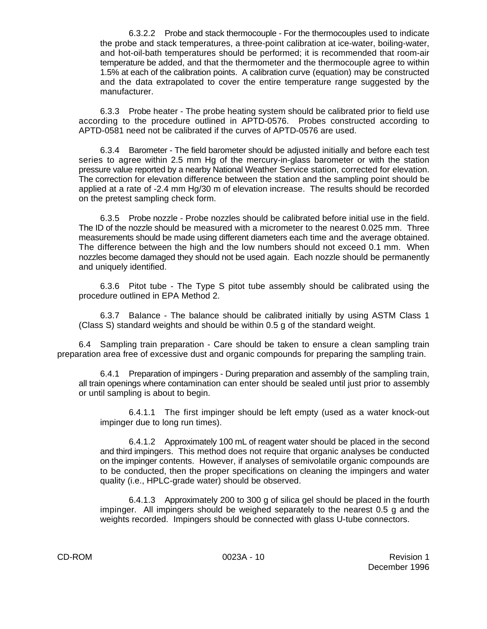6.3.2.2 Probe and stack thermocouple - For the thermocouples used to indicate the probe and stack temperatures, a three-point calibration at ice-water, boiling-water, and hot-oil-bath temperatures should be performed; it is recommended that room-air temperature be added, and that the thermometer and the thermocouple agree to within 1.5% at each of the calibration points. A calibration curve (equation) may be constructed and the data extrapolated to cover the entire temperature range suggested by the manufacturer.

6.3.3 Probe heater - The probe heating system should be calibrated prior to field use according to the procedure outlined in APTD-0576. Probes constructed according to APTD-0581 need not be calibrated if the curves of APTD-0576 are used.

6.3.4 Barometer - The field barometer should be adjusted initially and before each test series to agree within 2.5 mm Hg of the mercury-in-glass barometer or with the station pressure value reported by a nearby National Weather Service station, corrected for elevation. The correction for elevation difference between the station and the sampling point should be applied at a rate of -2.4 mm Hg/30 m of elevation increase. The results should be recorded on the pretest sampling check form.

6.3.5 Probe nozzle - Probe nozzles should be calibrated before initial use in the field. The ID of the nozzle should be measured with a micrometer to the nearest 0.025 mm. Three measurements should be made using different diameters each time and the average obtained. The difference between the high and the low numbers should not exceed 0.1 mm. When nozzles become damaged they should not be used again. Each nozzle should be permanently and uniquely identified.

6.3.6 Pitot tube - The Type S pitot tube assembly should be calibrated using the procedure outlined in EPA Method 2.

6.3.7 Balance - The balance should be calibrated initially by using ASTM Class 1 (Class S) standard weights and should be within 0.5 g of the standard weight.

6.4 Sampling train preparation - Care should be taken to ensure a clean sampling train preparation area free of excessive dust and organic compounds for preparing the sampling train.

6.4.1 Preparation of impingers - During preparation and assembly of the sampling train, all train openings where contamination can enter should be sealed until just prior to assembly or until sampling is about to begin.

6.4.1.1 The first impinger should be left empty (used as a water knock-out impinger due to long run times).

6.4.1.2 Approximately 100 mL of reagent water should be placed in the second and third impingers. This method does not require that organic analyses be conducted on the impinger contents. However, if analyses of semivolatile organic compounds are to be conducted, then the proper specifications on cleaning the impingers and water quality (i.e., HPLC-grade water) should be observed.

6.4.1.3 Approximately 200 to 300 g of silica gel should be placed in the fourth impinger. All impingers should be weighed separately to the nearest 0.5 g and the weights recorded. Impingers should be connected with glass U-tube connectors.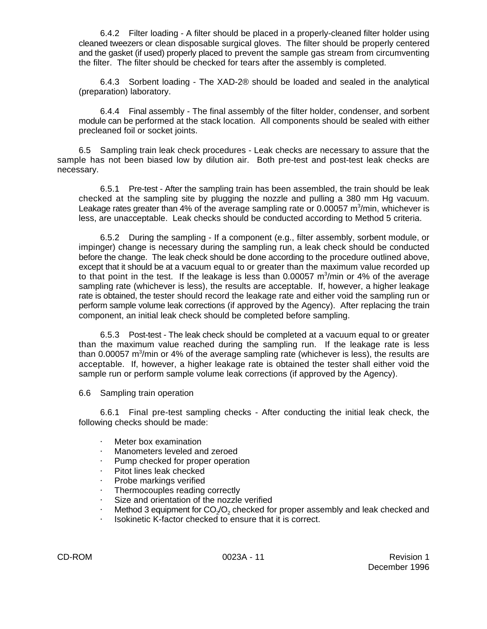6.4.2 Filter loading - A filter should be placed in a properly-cleaned filter holder using cleaned tweezers or clean disposable surgical gloves. The filter should be properly centered and the gasket (if used) properly placed to prevent the sample gas stream from circumventing the filter. The filter should be checked for tears after the assembly is completed.

6.4.3 Sorbent loading - The XAD-2® should be loaded and sealed in the analytical (preparation) laboratory.

6.4.4 Final assembly - The final assembly of the filter holder, condenser, and sorbent module can be performed at the stack location. All components should be sealed with either precleaned foil or socket joints.

6.5 Sampling train leak check procedures - Leak checks are necessary to assure that the sample has not been biased low by dilution air. Both pre-test and post-test leak checks are necessary.

6.5.1 Pre-test - After the sampling train has been assembled, the train should be leak checked at the sampling site by plugging the nozzle and pulling a 380 mm Hg vacuum. Leakage rates greater than 4% of the average sampling rate or 0.00057 m<sup>3</sup>/min, whichever is less, are unacceptable. Leak checks should be conducted according to Method 5 criteria.

6.5.2 During the sampling - If a component (e.g., filter assembly, sorbent module, or impinger) change is necessary during the sampling run, a leak check should be conducted before the change. The leak check should be done according to the procedure outlined above, except that it should be at a vacuum equal to or greater than the maximum value recorded up to that point in the test. If the leakage is less than 0.00057 m $\frac{3}{m}$ in or 4% of the average sampling rate (whichever is less), the results are acceptable. If, however, a higher leakage rate is obtained, the tester should record the leakage rate and either void the sampling run or perform sample volume leak corrections (if approved by the Agency). After replacing the train component, an initial leak check should be completed before sampling.

6.5.3 Post-test - The leak check should be completed at a vacuum equal to or greater than the maximum value reached during the sampling run. If the leakage rate is less than 0.00057 m<sup>3</sup>/min or 4% of the average sampling rate (whichever is less), the results are acceptable. If, however, a higher leakage rate is obtained the tester shall either void the sample run or perform sample volume leak corrections (if approved by the Agency).

6.6 Sampling train operation

6.6.1 Final pre-test sampling checks - After conducting the initial leak check, the following checks should be made:

- $\cdot$  Meter box examination
- Manometers leveled and zeroed
- $\cdot$  Pump checked for proper operation
- $\cdot$  Pitot lines leak checked
- Probe markings verified
- Thermocouples reading correctly
- $\cdot$  Size and orientation of the nozzle verified
- $\cdot$  Method 3 equipment for CO<sub>2</sub>/O<sub>2</sub> checked for proper assembly and leak checked and
- Isokinetic K-factor checked to ensure that it is correct.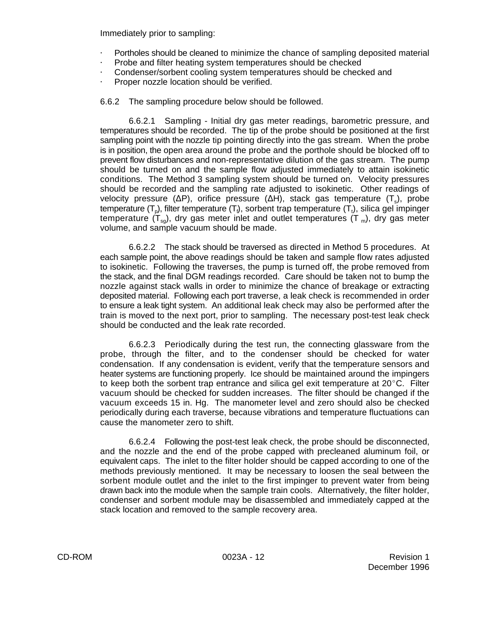Immediately prior to sampling:

- Portholes should be cleaned to minimize the chance of sampling deposited material
- Probe and filter heating system temperatures should be checked
- @ Condenser/sorbent cooling system temperatures should be checked and
- Proper nozzle location should be verified.

6.6.2 The sampling procedure below should be followed.

6.6.2.1 Sampling - Initial dry gas meter readings, barometric pressure, and temperatures should be recorded. The tip of the probe should be positioned at the first sampling point with the nozzle tip pointing directly into the gas stream. When the probe is in position, the open area around the probe and the porthole should be blocked off to prevent flow disturbances and non-representative dilution of the gas stream. The pump should be turned on and the sample flow adjusted immediately to attain isokinetic conditions. The Method 3 sampling system should be turned on. Velocity pressures should be recorded and the sampling rate adjusted to isokinetic. Other readings of velocity pressure ( $\Delta$ P), orifice pressure ( $\Delta$ H), stack gas temperature (T<sub>s</sub>), probe temperature  $(T_o)$ , filter temperature  $(T_i)$ , sorbent trap temperature  $(T_i)$ , silica gel impinger temperature  $(T_{\text{sg}})$ , dry gas meter inlet and outlet temperatures  $(T_{\text{m}})$ , dry gas meter volume, and sample vacuum should be made.

6.6.2.2 The stack should be traversed as directed in Method 5 procedures. At each sample point, the above readings should be taken and sample flow rates adjusted to isokinetic. Following the traverses, the pump is turned off, the probe removed from the stack, and the final DGM readings recorded. Care should be taken not to bump the nozzle against stack walls in order to minimize the chance of breakage or extracting deposited material. Following each port traverse, a leak check is recommended in order to ensure a leak tight system. An additional leak check may also be performed after the train is moved to the next port, prior to sampling. The necessary post-test leak check should be conducted and the leak rate recorded.

6.6.2.3 Periodically during the test run, the connecting glassware from the probe, through the filter, and to the condenser should be checked for water condensation. If any condensation is evident, verify that the temperature sensors and heater systems are functioning properly. Ice should be maintained around the impingers to keep both the sorbent trap entrance and silica gel exit temperature at  $20^{\circ}$ C. Filter vacuum should be checked for sudden increases. The filter should be changed if the vacuum exceeds 15 in. Hg. The manometer level and zero should also be checked periodically during each traverse, because vibrations and temperature fluctuations can cause the manometer zero to shift.

6.6.2.4 Following the post-test leak check, the probe should be disconnected, and the nozzle and the end of the probe capped with precleaned aluminum foil, or equivalent caps. The inlet to the filter holder should be capped according to one of the methods previously mentioned. It may be necessary to loosen the seal between the sorbent module outlet and the inlet to the first impinger to prevent water from being drawn back into the module when the sample train cools. Alternatively, the filter holder, condenser and sorbent module may be disassembled and immediately capped at the stack location and removed to the sample recovery area.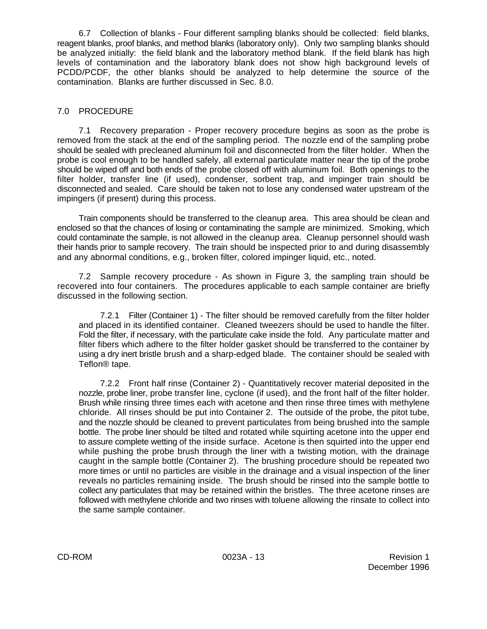6.7 Collection of blanks - Four different sampling blanks should be collected: field blanks, reagent blanks, proof blanks, and method blanks (laboratory only). Only two sampling blanks should be analyzed initially: the field blank and the laboratory method blank. If the field blank has high levels of contamination and the laboratory blank does not show high background levels of PCDD/PCDF, the other blanks should be analyzed to help determine the source of the contamination. Blanks are further discussed in Sec. 8.0.

# 7.0 PROCEDURE

7.1 Recovery preparation - Proper recovery procedure begins as soon as the probe is removed from the stack at the end of the sampling period. The nozzle end of the sampling probe should be sealed with precleaned aluminum foil and disconnected from the filter holder. When the probe is cool enough to be handled safely, all external particulate matter near the tip of the probe should be wiped off and both ends of the probe closed off with aluminum foil. Both openings to the filter holder, transfer line (if used), condenser, sorbent trap, and impinger train should be disconnected and sealed. Care should be taken not to lose any condensed water upstream of the impingers (if present) during this process.

Train components should be transferred to the cleanup area. This area should be clean and enclosed so that the chances of losing or contaminating the sample are minimized. Smoking, which could contaminate the sample, is not allowed in the cleanup area. Cleanup personnel should wash their hands prior to sample recovery. The train should be inspected prior to and during disassembly and any abnormal conditions, e.g., broken filter, colored impinger liquid, etc., noted.

7.2 Sample recovery procedure - As shown in Figure 3, the sampling train should be recovered into four containers. The procedures applicable to each sample container are briefly discussed in the following section.

7.2.1 Filter (Container 1) - The filter should be removed carefully from the filter holder and placed in its identified container. Cleaned tweezers should be used to handle the filter. Fold the filter, if necessary, with the particulate cake inside the fold. Any particulate matter and filter fibers which adhere to the filter holder gasket should be transferred to the container by using a dry inert bristle brush and a sharp-edged blade. The container should be sealed with Teflon® tape.

7.2.2 Front half rinse (Container 2) - Quantitatively recover material deposited in the nozzle, probe liner, probe transfer line, cyclone (if used), and the front half of the filter holder. Brush while rinsing three times each with acetone and then rinse three times with methylene chloride. All rinses should be put into Container 2. The outside of the probe, the pitot tube, and the nozzle should be cleaned to prevent particulates from being brushed into the sample bottle. The probe liner should be tilted and rotated while squirting acetone into the upper end to assure complete wetting of the inside surface. Acetone is then squirted into the upper end while pushing the probe brush through the liner with a twisting motion, with the drainage caught in the sample bottle (Container 2). The brushing procedure should be repeated two more times or until no particles are visible in the drainage and a visual inspection of the liner reveals no particles remaining inside. The brush should be rinsed into the sample bottle to collect any particulates that may be retained within the bristles. The three acetone rinses are followed with methylene chloride and two rinses with toluene allowing the rinsate to collect into the same sample container.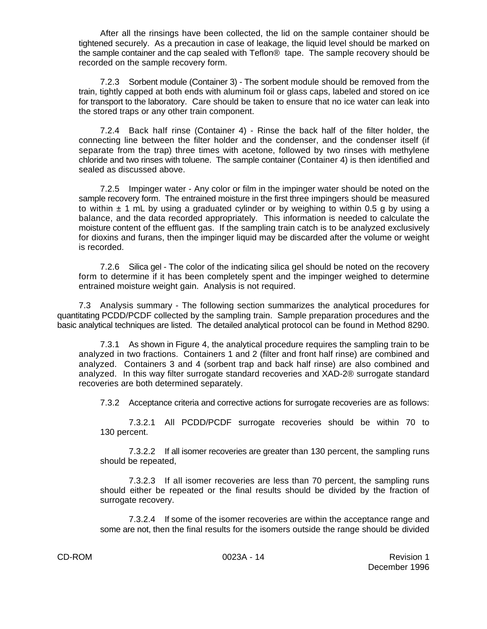After all the rinsings have been collected, the lid on the sample container should be tightened securely. As a precaution in case of leakage, the liquid level should be marked on the sample container and the cap sealed with Teflon® tape. The sample recovery should be recorded on the sample recovery form.

7.2.3 Sorbent module (Container 3) - The sorbent module should be removed from the train, tightly capped at both ends with aluminum foil or glass caps, labeled and stored on ice for transport to the laboratory. Care should be taken to ensure that no ice water can leak into the stored traps or any other train component.

7.2.4 Back half rinse (Container 4) - Rinse the back half of the filter holder, the connecting line between the filter holder and the condenser, and the condenser itself (if separate from the trap) three times with acetone, followed by two rinses with methylene chloride and two rinses with toluene. The sample container (Container 4) is then identified and sealed as discussed above.

7.2.5 Impinger water - Any color or film in the impinger water should be noted on the sample recovery form. The entrained moisture in the first three impingers should be measured to within  $\pm$  1 mL by using a graduated cylinder or by weighing to within 0.5 g by using a balance, and the data recorded appropriately. This information is needed to calculate the moisture content of the effluent gas. If the sampling train catch is to be analyzed exclusively for dioxins and furans, then the impinger liquid may be discarded after the volume or weight is recorded.

7.2.6 Silica gel - The color of the indicating silica gel should be noted on the recovery form to determine if it has been completely spent and the impinger weighed to determine entrained moisture weight gain. Analysis is not required.

7.3 Analysis summary - The following section summarizes the analytical procedures for quantitating PCDD/PCDF collected by the sampling train. Sample preparation procedures and the basic analytical techniques are listed. The detailed analytical protocol can be found in Method 8290.

7.3.1 As shown in Figure 4, the analytical procedure requires the sampling train to be analyzed in two fractions. Containers 1 and 2 (filter and front half rinse) are combined and analyzed. Containers 3 and 4 (sorbent trap and back half rinse) are also combined and analyzed. In this way filter surrogate standard recoveries and XAD-2® surrogate standard recoveries are both determined separately.

7.3.2 Acceptance criteria and corrective actions for surrogate recoveries are as follows:

7.3.2.1 All PCDD/PCDF surrogate recoveries should be within 70 to 130 percent.

7.3.2.2 If all isomer recoveries are greater than 130 percent, the sampling runs should be repeated,

7.3.2.3 If all isomer recoveries are less than 70 percent, the sampling runs should either be repeated or the final results should be divided by the fraction of surrogate recovery.

7.3.2.4 If some of the isomer recoveries are within the acceptance range and some are not, then the final results for the isomers outside the range should be divided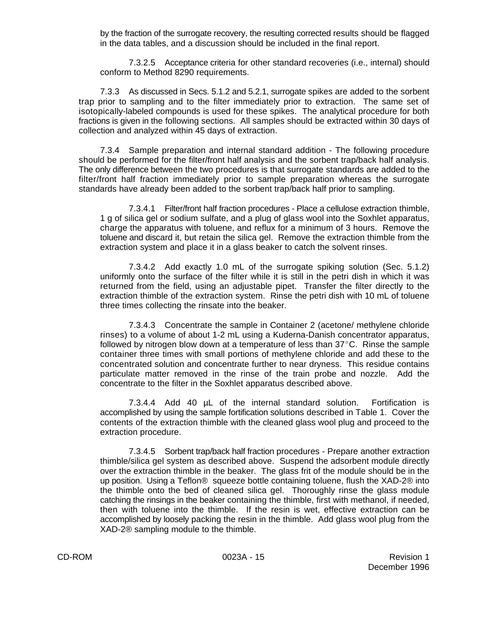by the fraction of the surrogate recovery, the resulting corrected results should be flagged in the data tables, and a discussion should be included in the final report.

7.3.2.5 Acceptance criteria for other standard recoveries (i.e., internal) should conform to Method 8290 requirements.

7.3.3 As discussed in Secs. 5.1.2 and 5.2.1, surrogate spikes are added to the sorbent trap prior to sampling and to the filter immediately prior to extraction. The same set of isotopically-labeled compounds is used for these spikes. The analytical procedure for both fractions is given in the following sections. All samples should be extracted within 30 days of collection and analyzed within 45 days of extraction.

7.3.4 Sample preparation and internal standard addition - The following procedure should be performed for the filter/front half analysis and the sorbent trap/back half analysis. The only difference between the two procedures is that surrogate standards are added to the filter/front half fraction immediately prior to sample preparation whereas the surrogate standards have already been added to the sorbent trap/back half prior to sampling.

7.3.4.1 Filter/front half fraction procedures - Place a cellulose extraction thimble, 1 g of silica gel or sodium sulfate, and a plug of glass wool into the Soxhlet apparatus, charge the apparatus with toluene, and reflux for a minimum of 3 hours. Remove the toluene and discard it, but retain the silica gel. Remove the extraction thimble from the extraction system and place it in a glass beaker to catch the solvent rinses.

7.3.4.2 Add exactly 1.0 mL of the surrogate spiking solution (Sec. 5.1.2) uniformly onto the surface of the filter while it is still in the petri dish in which it was returned from the field, using an adjustable pipet. Transfer the filter directly to the extraction thimble of the extraction system. Rinse the petri dish with 10 mL of toluene three times collecting the rinsate into the beaker.

7.3.4.3 Concentrate the sample in Container 2 (acetone/ methylene chloride rinses) to a volume of about 1-2 mL using a Kuderna-Danish concentrator apparatus, followed by nitrogen blow down at a temperature of less than  $37^{\circ}$ C. Rinse the sample container three times with small portions of methylene chloride and add these to the concentrated solution and concentrate further to near dryness. This residue contains particulate matter removed in the rinse of the train probe and nozzle. Add the concentrate to the filter in the Soxhlet apparatus described above.

7.3.4.4 Add 40 µL of the internal standard solution. Fortification is accomplished by using the sample fortification solutions described in Table 1. Cover the contents of the extraction thimble with the cleaned glass wool plug and proceed to the extraction procedure.

7.3.4.5 Sorbent trap/back half fraction procedures - Prepare another extraction thimble/silica gel system as described above. Suspend the adsorbent module directly over the extraction thimble in the beaker. The glass frit of the module should be in the up position. Using a Teflon® squeeze bottle containing toluene, flush the XAD-2® into the thimble onto the bed of cleaned silica gel. Thoroughly rinse the glass module catching the rinsings in the beaker containing the thimble, first with methanol, if needed, then with toluene into the thimble. If the resin is wet, effective extraction can be accomplished by loosely packing the resin in the thimble. Add glass wool plug from the XAD-2® sampling module to the thimble.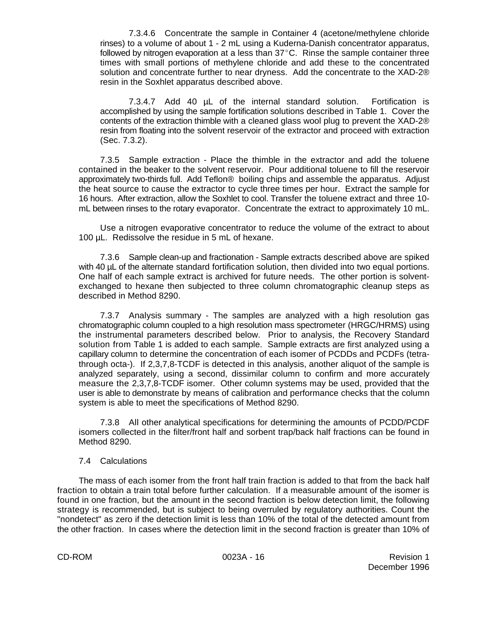7.3.4.6 Concentrate the sample in Container 4 (acetone/methylene chloride rinses) to a volume of about 1 - 2 mL using a Kuderna-Danish concentrator apparatus, followed by nitrogen evaporation at a less than  $37^{\circ}$ C. Rinse the sample container three times with small portions of methylene chloride and add these to the concentrated solution and concentrate further to near dryness. Add the concentrate to the XAD-2® resin in the Soxhlet apparatus described above.

7.3.4.7 Add 40 µL of the internal standard solution. Fortification is accomplished by using the sample fortification solutions described in Table 1. Cover the contents of the extraction thimble with a cleaned glass wool plug to prevent the XAD-2® resin from floating into the solvent reservoir of the extractor and proceed with extraction (Sec. 7.3.2).

7.3.5 Sample extraction - Place the thimble in the extractor and add the toluene contained in the beaker to the solvent reservoir. Pour additional toluene to fill the reservoir approximately two-thirds full. Add Teflon® boiling chips and assemble the apparatus. Adjust the heat source to cause the extractor to cycle three times per hour. Extract the sample for 16 hours. After extraction, allow the Soxhlet to cool. Transfer the toluene extract and three 10 mL between rinses to the rotary evaporator. Concentrate the extract to approximately 10 mL.

Use a nitrogen evaporative concentrator to reduce the volume of the extract to about 100 µL. Redissolve the residue in 5 mL of hexane.

7.3.6 Sample clean-up and fractionation - Sample extracts described above are spiked with 40 µL of the alternate standard fortification solution, then divided into two equal portions. One half of each sample extract is archived for future needs. The other portion is solventexchanged to hexane then subjected to three column chromatographic cleanup steps as described in Method 8290.

7.3.7 Analysis summary - The samples are analyzed with a high resolution gas chromatographic column coupled to a high resolution mass spectrometer (HRGC/HRMS) using the instrumental parameters described below. Prior to analysis, the Recovery Standard solution from Table 1 is added to each sample. Sample extracts are first analyzed using a capillary column to determine the concentration of each isomer of PCDDs and PCDFs (tetrathrough octa-). If 2,3,7,8-TCDF is detected in this analysis, another aliquot of the sample is analyzed separately, using a second, dissimilar column to confirm and more accurately measure the 2,3,7,8-TCDF isomer. Other column systems may be used, provided that the user is able to demonstrate by means of calibration and performance checks that the column system is able to meet the specifications of Method 8290.

7.3.8 All other analytical specifications for determining the amounts of PCDD/PCDF isomers collected in the filter/front half and sorbent trap/back half fractions can be found in Method 8290.

#### 7.4 Calculations

The mass of each isomer from the front half train fraction is added to that from the back half fraction to obtain a train total before further calculation. If a measurable amount of the isomer is found in one fraction, but the amount in the second fraction is below detection limit, the following strategy is recommended, but is subject to being overruled by regulatory authorities. Count the "nondetect" as zero if the detection limit is less than 10% of the total of the detected amount from the other fraction. In cases where the detection limit in the second fraction is greater than 10% of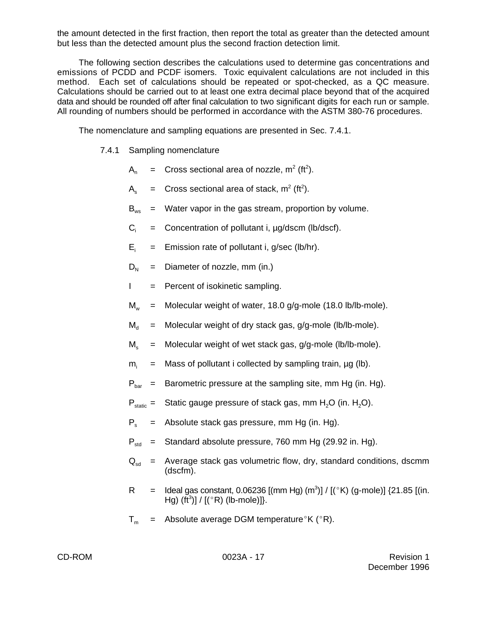the amount detected in the first fraction, then report the total as greater than the detected amount but less than the detected amount plus the second fraction detection limit.

The following section describes the calculations used to determine gas concentrations and emissions of PCDD and PCDF isomers. Toxic equivalent calculations are not included in this method. Each set of calculations should be repeated or spot-checked, as a QC measure. Calculations should be carried out to at least one extra decimal place beyond that of the acquired data and should be rounded off after final calculation to two significant digits for each run or sample. All rounding of numbers should be performed in accordance with the ASTM 380-76 procedures.

The nomenclature and sampling equations are presented in Sec. 7.4.1.

- 7.4.1 Sampling nomenclature
	- $A_n =$  Cross sectional area of nozzle, m<sup>2</sup> (ft<sup>2</sup>).
	- $A_s$  = Cross sectional area of stack, m<sup>2</sup> (ft<sup>2</sup>).
	- $B_{ws}$  = Water vapor in the gas stream, proportion by volume.
	- $C_i$  = Concentration of pollutant i,  $\mu$ g/dscm (lb/dscf).
	- $E_i$  = Emission rate of pollutant i, g/sec (lb/hr).
	- $D_{N}$  = Diameter of nozzle, mm (in.)
	- $I =$  Percent of isokinetic sampling.
	- $M_w$  = Molecular weight of water, 18.0 g/g-mole (18.0 lb/lb-mole).
	- $M_d$  = Molecular weight of dry stack gas, g/g-mole (lb/lb-mole).
	- $M_s$  = Molecular weight of wet stack gas, g/g-mole (lb/lb-mole).
	- $m_i$  = Mass of pollutant i collected by sampling train,  $\mu$ g (lb).
	- $P_{\text{bar}}$  = Barometric pressure at the sampling site, mm Hg (in. Hg).
	- $P_{static}$  = Static gauge pressure of stack gas, mm H<sub>2</sub>O (in. H<sub>2</sub>O).
	- $P_s$  = Absolute stack gas pressure, mm Hg (in. Hg).
	- $P_{\text{std}}$  = Standard absolute pressure, 760 mm Hg (29.92 in. Hg).
	- $Q_{sd}$  = Average stack gas volumetric flow, dry, standard conditions, dscmm (dscfm).
	- R = Ideal gas constant, 0.06236  $\lbrack$  (mm Hg)  $\lbrack$  (m<sup>3</sup>)] /  $\lbrack$  ( $\lbrack$  <sup>e</sup>K) (g-mole)] {21.85  $\lbrack$  (in. Hg) (ft<sup>3</sup>)] /  $[(^{\circ}R)$  (lb-mole)]}.
	- $T_m$  = Absolute average DGM temperature K ( $\textdegree$ R).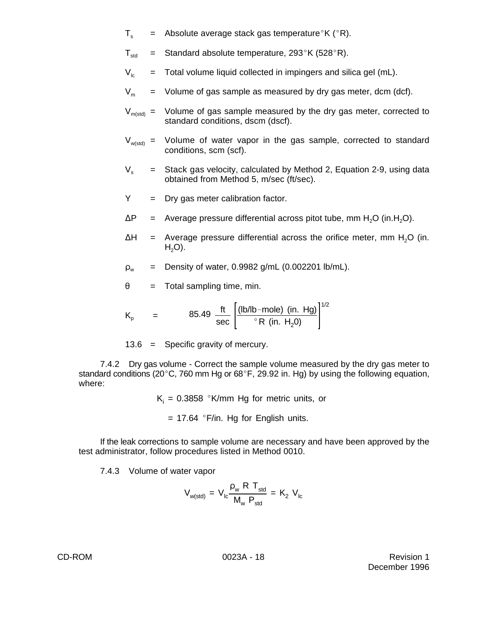- $T<sub>s</sub>$  = Absolute average stack gas temperature K ( $\degree$ R).
- $T_{\text{std}}$  = Standard absolute temperature, 293°K (528°R).
- $V_{\text{bc}}$  = Total volume liquid collected in impingers and silica gel (mL).
- $V_m$  = Volume of gas sample as measured by dry gas meter, dcm (dcf).
- $V_{m(std)} =$  Volume of gas sample measured by the dry gas meter, corrected to standard conditions, dscm (dscf).
- $V_{w(std)}$  = Volume of water vapor in the gas sample, corrected to standard conditions, scm (scf).
- $V<sub>s</sub>$  = Stack gas velocity, calculated by Method 2, Equation 2-9, using data obtained from Method 5, m/sec (ft/sec).
- $Y = \text{Dry gas meter calibration factor.}$
- $\Delta P$  = Average pressure differential across pitot tube, mm H<sub>2</sub>O (in.H<sub>2</sub>O).
- $\Delta H$  = Average pressure differential across the orifice meter, mm H<sub>2</sub>O (in.  $H<sub>2</sub>O$ ).
- $\rho_w$  = Density of water, 0.9982 g/mL (0.002201 lb/mL).
- $\theta$  = Total sampling time, min.

$$
K_p
$$
 = 85.49  $\frac{\text{ft}}{\text{sec}} \left[ \frac{(\text{lb/lb} - \text{mole}) (\text{in. Hg})}{^{\circ} R (\text{in. H}_2 0)} \right]^{1/2}$ 

13.6 = Specific gravity of mercury.

7.4.2 Dry gas volume - Correct the sample volume measured by the dry gas meter to standard conditions (20 $^{\circ}$ C, 760 mm Hg or 68 $^{\circ}$ F, 29.92 in. Hg) by using the following equation, where:

 $\mathsf{K} _{i}$  = 0.3858 °K/mm Hg for metric units, or

 $= 17.64$  °F/in. Hg for English units.

If the leak corrections to sample volume are necessary and have been approved by the test administrator, follow procedures listed in Method 0010.

7.4.3 Volume of water vapor

$$
V_{w(std)} = V_{lc} \frac{\rho_w \ R \ T_{std}}{M_w \ P_{std}} = K_2 \ V_{lc}
$$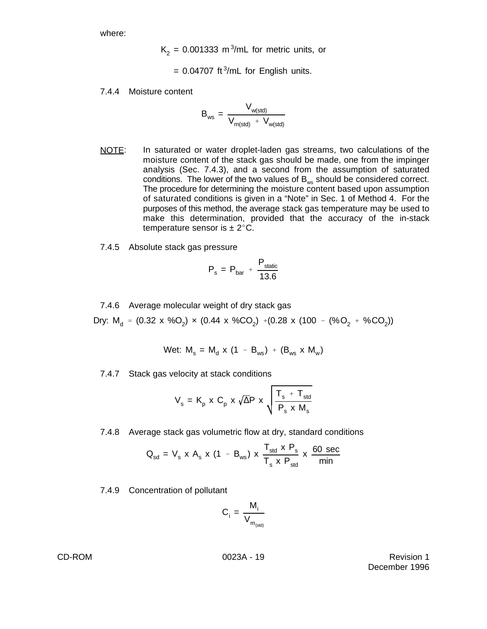where:

$$
K_2 = 0.001333 \text{ m}^3/\text{m}
$$
 for metric units, or

 $= 0.04707$  ft<sup>3</sup>/mL for English units.

7.4.4 Moisture content

$$
B_{ws} = \frac{V_{w(std)}}{V_{m(std)} + V_{w(std)}}
$$

- NOTE: In saturated or water droplet-laden gas streams, two calculations of the moisture content of the stack gas should be made, one from the impinger analysis (Sec. 7.4.3), and a second from the assumption of saturated conditions. The lower of the two values of  $B_{ws}$  should be considered correct. The procedure for determining the moisture content based upon assumption of saturated conditions is given in a "Note" in Sec. 1 of Method 4. For the purposes of this method, the average stack gas temperature may be used to make this determination, provided that the accuracy of the in-stack temperature sensor is  $\pm 2^{\circ}$ C.
- 7.4.5 Absolute stack gas pressure

$$
P_s = P_{bar} + \frac{P_{static}}{13.6}
$$

7.4.6 Average molecular weight of dry stack gas

Dry: M<sub>d</sub> = (0.32 x %O<sub>2</sub>) × (0.44 x %CO<sub>2</sub>) +(0.28 x (100 - (%O<sub>2</sub> + %CO<sub>2</sub>))

$$
Wet: M_s = M_d \times (1 - B_{ws}) + (B_{ws} \times M_w)
$$

7.4.7 Stack gas velocity at stack conditions

$$
V_s = K_p \times C_p \times \sqrt{\Delta}P \times \sqrt{\frac{T_s + T_{std}}{P_s \times M_s}}
$$

7.4.8 Average stack gas volumetric flow at dry, standard conditions

$$
Q_{sd} = V_s \times A_s \times (1 - B_{ws}) \times \frac{T_{std} \times P_s}{T_s \times P_{std}} \times \frac{60 \text{ sec}}{\text{min}}
$$

7.4.9 Concentration of pollutant

$$
C_i = \frac{M_i}{V_{m_{(std)}}}
$$

CD-ROM **CD-ROM** 20023A - 19 Revision 1 December 1996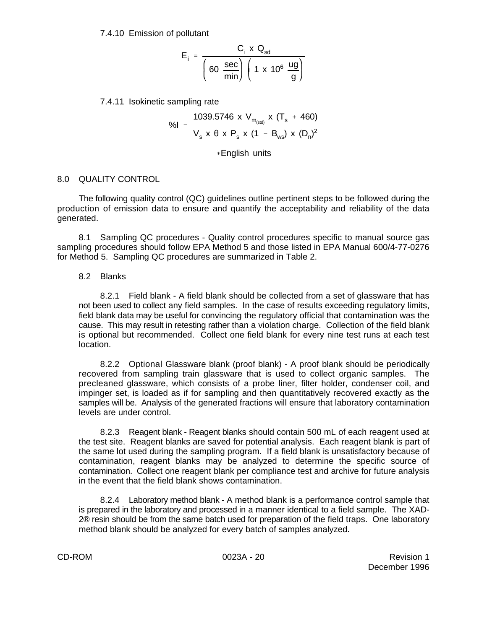7.4.10 Emission of pollutant

$$
E_i = \frac{C_i \times Q_{sd}}{\left(\frac{\sec}{\min}\right) \left(1 \times 10^6 \frac{ug}{g}\right)}
$$

7.4.11 Isokinetic sampling rate

$$
\%I = \frac{1039.5746 \times V_{m_{(std)}} \times (T_s + 460)}{V_s \times \theta \times P_s \times (1 - B_{ws}) \times (D_n)^2}
$$

 $*$ English units

#### 8.0 QUALITY CONTROL

The following quality control (QC) guidelines outline pertinent steps to be followed during the production of emission data to ensure and quantify the acceptability and reliability of the data generated.

8.1 Sampling QC procedures - Quality control procedures specific to manual source gas sampling procedures should follow EPA Method 5 and those listed in EPA Manual 600/4-77-0276 for Method 5. Sampling QC procedures are summarized in Table 2.

#### 8.2 Blanks

8.2.1 Field blank - A field blank should be collected from a set of glassware that has not been used to collect any field samples. In the case of results exceeding regulatory limits, field blank data may be useful for convincing the regulatory official that contamination was the cause. This may result in retesting rather than a violation charge. Collection of the field blank is optional but recommended. Collect one field blank for every nine test runs at each test location.

8.2.2 Optional Glassware blank (proof blank) - A proof blank should be periodically recovered from sampling train glassware that is used to collect organic samples. The precleaned glassware, which consists of a probe liner, filter holder, condenser coil, and impinger set, is loaded as if for sampling and then quantitatively recovered exactly as the samples will be. Analysis of the generated fractions will ensure that laboratory contamination levels are under control.

8.2.3 Reagent blank - Reagent blanks should contain 500 mL of each reagent used at the test site. Reagent blanks are saved for potential analysis. Each reagent blank is part of the same lot used during the sampling program. If a field blank is unsatisfactory because of contamination, reagent blanks may be analyzed to determine the specific source of contamination. Collect one reagent blank per compliance test and archive for future analysis in the event that the field blank shows contamination.

8.2.4 Laboratory method blank - A method blank is a performance control sample that is prepared in the laboratory and processed in a manner identical to a field sample. The XAD-2® resin should be from the same batch used for preparation of the field traps. One laboratory method blank should be analyzed for every batch of samples analyzed.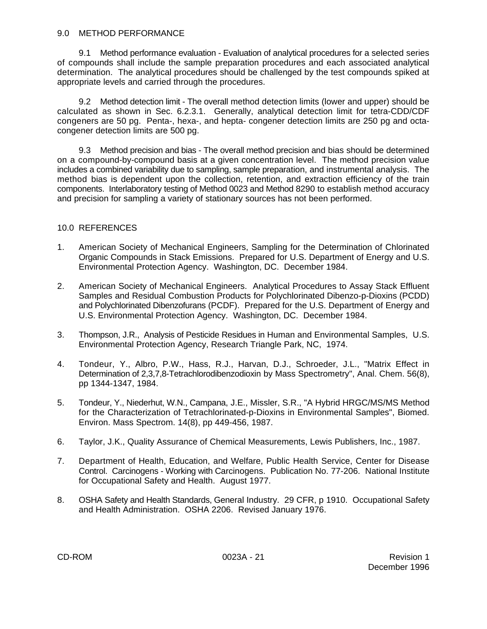## 9.0 METHOD PERFORMANCE

9.1 Method performance evaluation - Evaluation of analytical procedures for a selected series of compounds shall include the sample preparation procedures and each associated analytical determination. The analytical procedures should be challenged by the test compounds spiked at appropriate levels and carried through the procedures.

9.2 Method detection limit - The overall method detection limits (lower and upper) should be calculated as shown in Sec. 6.2.3.1. Generally, analytical detection limit for tetra-CDD/CDF congeners are 50 pg. Penta-, hexa-, and hepta- congener detection limits are 250 pg and octacongener detection limits are 500 pg.

9.3 Method precision and bias - The overall method precision and bias should be determined on a compound-by-compound basis at a given concentration level. The method precision value includes a combined variability due to sampling, sample preparation, and instrumental analysis. The method bias is dependent upon the collection, retention, and extraction efficiency of the train components. Interlaboratory testing of Method 0023 and Method 8290 to establish method accuracy and precision for sampling a variety of stationary sources has not been performed.

# 10.0 REFERENCES

- 1. American Society of Mechanical Engineers, Sampling for the Determination of Chlorinated Organic Compounds in Stack Emissions. Prepared for U.S. Department of Energy and U.S. Environmental Protection Agency. Washington, DC. December 1984.
- 2. American Society of Mechanical Engineers. Analytical Procedures to Assay Stack Effluent Samples and Residual Combustion Products for Polychlorinated Dibenzo-p-Dioxins (PCDD) and Polychlorinated Dibenzofurans (PCDF). Prepared for the U.S. Department of Energy and U.S. Environmental Protection Agency. Washington, DC. December 1984.
- 3. Thompson, J.R., Analysis of Pesticide Residues in Human and Environmental Samples, U.S. Environmental Protection Agency, Research Triangle Park, NC, 1974.
- 4. Tondeur, Y., Albro, P.W., Hass, R.J., Harvan, D.J., Schroeder, J.L., "Matrix Effect in Determination of 2,3,7,8-Tetrachlorodibenzodioxin by Mass Spectrometry", Anal. Chem. 56(8), pp 1344-1347, 1984.
- 5. Tondeur, Y., Niederhut, W.N., Campana, J.E., Missler, S.R., "A Hybrid HRGC/MS/MS Method for the Characterization of Tetrachlorinated-p-Dioxins in Environmental Samples", Biomed. Environ. Mass Spectrom. 14(8), pp 449-456, 1987.
- 6. Taylor, J.K., Quality Assurance of Chemical Measurements, Lewis Publishers, Inc., 1987.
- 7. Department of Health, Education, and Welfare, Public Health Service, Center for Disease Control. Carcinogens - Working with Carcinogens. Publication No. 77-206. National Institute for Occupational Safety and Health. August 1977.
- 8. OSHA Safety and Health Standards, General Industry. 29 CFR, p 1910. Occupational Safety and Health Administration. OSHA 2206. Revised January 1976.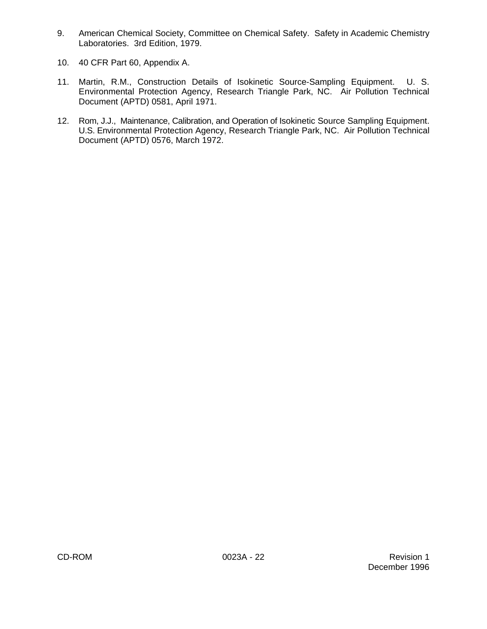- 9. American Chemical Society, Committee on Chemical Safety. Safety in Academic Chemistry Laboratories. 3rd Edition, 1979.
- 10. 40 CFR Part 60, Appendix A.
- 11. Martin, R.M., Construction Details of Isokinetic Source-Sampling Equipment. U. S. Environmental Protection Agency, Research Triangle Park, NC. Air Pollution Technical Document (APTD) 0581, April 1971.
- 12. Rom, J.J., Maintenance, Calibration, and Operation of Isokinetic Source Sampling Equipment. U.S. Environmental Protection Agency, Research Triangle Park, NC. Air Pollution Technical Document (APTD) 0576, March 1972.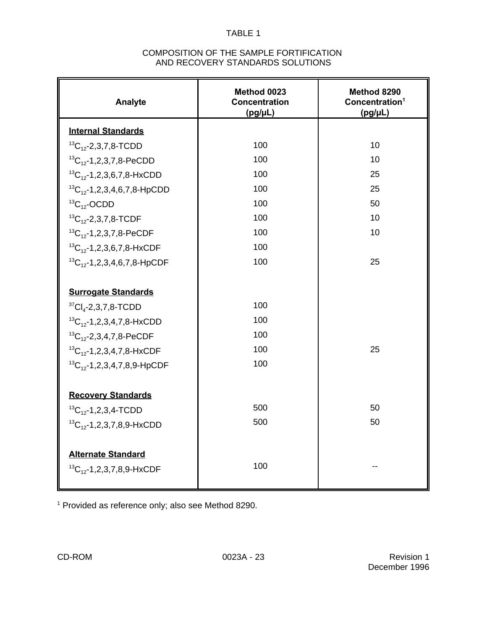# COMPOSITION OF THE SAMPLE FORTIFICATION AND RECOVERY STANDARDS SOLUTIONS

| <b>Analyte</b>                       | Method 0023<br><b>Concentration</b><br>$(pg/\mu L)$ | Method 8290<br>Concentration <sup>1</sup><br>$(pg/\mu L)$ |
|--------------------------------------|-----------------------------------------------------|-----------------------------------------------------------|
| <b>Internal Standards</b>            |                                                     |                                                           |
| ${}^{13}C_{12}$ -2,3,7,8-TCDD        | 100                                                 | 10                                                        |
| ${}^{13}C_{12}$ -1,2,3,7,8-PeCDD     | 100                                                 | 10                                                        |
| ${}^{13}C_{12}$ -1,2,3,6,7,8-HxCDD   | 100                                                 | 25                                                        |
| ${}^{13}C_{12}$ -1,2,3,4,6,7,8-HpCDD | 100                                                 | 25                                                        |
| ${}^{13}C_{12}$ -OCDD                | 100                                                 | 50                                                        |
| ${}^{13}C_{12}$ -2,3,7,8-TCDF        | 100                                                 | 10                                                        |
| ${}^{13}C_{12}$ -1,2,3,7,8-PeCDF     | 100                                                 | 10                                                        |
| ${}^{13}C_{12}$ -1,2,3,6,7,8-HxCDF   | 100                                                 |                                                           |
| ${}^{13}C_{12}$ -1,2,3,4,6,7,8-HpCDF | 100                                                 | 25                                                        |
|                                      |                                                     |                                                           |
| <b>Surrogate Standards</b>           |                                                     |                                                           |
| ${}^{37}Cl_4$ -2,3,7,8-TCDD          | 100                                                 |                                                           |
| ${}^{13}C_{12}$ -1,2,3,4,7,8-HxCDD   | 100                                                 |                                                           |
| ${}^{13}C_{12}$ -2,3,4,7,8-PeCDF     | 100                                                 |                                                           |
| ${}^{13}C_{12}$ -1,2,3,4,7,8-HxCDF   | 100                                                 | 25                                                        |
| ${}^{13}C_{12}$ -1,2,3,4,7,8,9-HpCDF | 100                                                 |                                                           |
|                                      |                                                     |                                                           |
| <b>Recovery Standards</b>            |                                                     |                                                           |
| ${}^{13}C_{12}$ -1,2,3,4-TCDD        | 500                                                 | 50                                                        |
| ${}^{13}C_{12}$ -1,2,3,7,8,9-HxCDD   | 500                                                 | 50                                                        |
|                                      |                                                     |                                                           |
| <b>Alternate Standard</b>            |                                                     |                                                           |
| ${}^{13}C_{12}$ -1,2,3,7,8,9-HxCDF   | 100                                                 |                                                           |
|                                      |                                                     |                                                           |

Provided as reference only; also see Method 8290.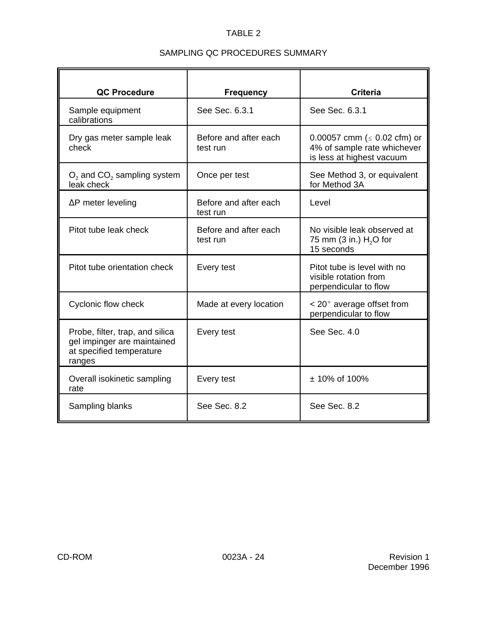# SAMPLING QC PROCEDURES SUMMARY

| <b>QC Procedure</b><br>Sample equipment                                                              | <b>Frequency</b><br>See Sec. 6.3.1 | <b>Criteria</b><br>See Sec. 6.3.1                                                             |  |
|------------------------------------------------------------------------------------------------------|------------------------------------|-----------------------------------------------------------------------------------------------|--|
| calibrations                                                                                         |                                    |                                                                                               |  |
| Dry gas meter sample leak<br>check                                                                   | Before and after each<br>test run  | 0.00057 cmm ( $\leq$ 0.02 cfm) or<br>4% of sample rate whichever<br>is less at highest vacuum |  |
| $O2$ and $CO2$ sampling system<br>leak check                                                         | Once per test                      | See Method 3, or equivalent<br>for Method 3A                                                  |  |
| $\Delta P$ meter leveling                                                                            | Before and after each<br>test run  | Level                                                                                         |  |
| Pitot tube leak check                                                                                | Before and after each<br>test run  | No visible leak observed at<br>75 mm (3 in.) $H2O$ for<br>15 seconds                          |  |
| Pitot tube orientation check                                                                         | Every test                         | Pitot tube is level with no<br>visible rotation from<br>perpendicular to flow                 |  |
| Cyclonic flow check                                                                                  | Made at every location             | $<$ 20 $^{\circ}$ average offset from<br>perpendicular to flow                                |  |
| Probe, filter, trap, and silica<br>gel impinger are maintained<br>at specified temperature<br>ranges | Every test                         | See Sec. 4.0                                                                                  |  |
| Overall isokinetic sampling<br>rate                                                                  | Every test                         | ± 10% of 100%                                                                                 |  |
| Sampling blanks                                                                                      | See Sec. 8.2                       | See Sec. 8.2                                                                                  |  |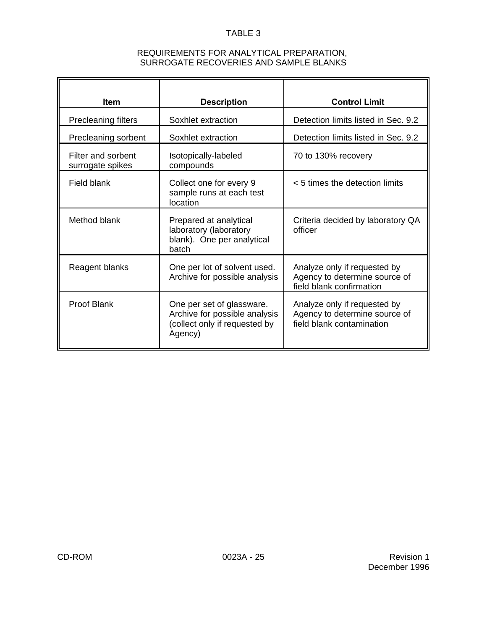# REQUIREMENTS FOR ANALYTICAL PREPARATION, SURROGATE RECOVERIES AND SAMPLE BLANKS

| <b>Item</b>                            | <b>Description</b>                                                                                     | <b>Control Limit</b>                                                                       |  |
|----------------------------------------|--------------------------------------------------------------------------------------------------------|--------------------------------------------------------------------------------------------|--|
| <b>Precleaning filters</b>             | Soxhlet extraction                                                                                     | Detection limits listed in Sec. 9.2                                                        |  |
| Precleaning sorbent                    | Soxhlet extraction                                                                                     | Detection limits listed in Sec. 9.2                                                        |  |
| Filter and sorbent<br>surrogate spikes | Isotopically-labeled<br>compounds                                                                      | 70 to 130% recovery                                                                        |  |
| Field blank                            | Collect one for every 9<br>sample runs at each test<br>location                                        | < 5 times the detection limits                                                             |  |
| Method blank                           | Prepared at analytical<br>laboratory (laboratory<br>blank). One per analytical<br>batch                | Criteria decided by laboratory QA<br>officer                                               |  |
| Reagent blanks                         | One per lot of solvent used.<br>Archive for possible analysis                                          | Analyze only if requested by<br>Agency to determine source of<br>field blank confirmation  |  |
| <b>Proof Blank</b>                     | One per set of glassware.<br>Archive for possible analysis<br>(collect only if requested by<br>Agency) | Analyze only if requested by<br>Agency to determine source of<br>field blank contamination |  |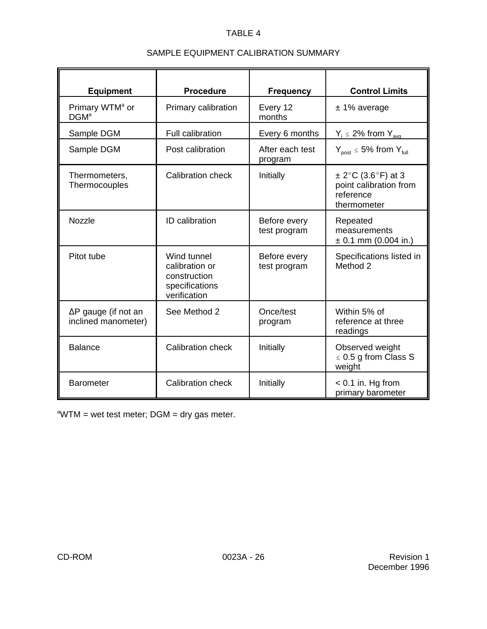# SAMPLE EQUIPMENT CALIBRATION SUMMARY

| <b>Equipment</b>                                   | <b>Procedure</b>                                                                | <b>Frequency</b>             | <b>Control Limits</b>                                                        |
|----------------------------------------------------|---------------------------------------------------------------------------------|------------------------------|------------------------------------------------------------------------------|
| Primary WTM <sup>a</sup> or<br>DGM <sup>a</sup>    | Primary calibration                                                             | Every 12<br>months           | $± 1\%$ average                                                              |
| Sample DGM                                         | Full calibration                                                                | Every 6 months               | $Y_i \le 2\%$ from $Y_{\text{ava}}$                                          |
| Sample DGM                                         | Post calibration                                                                | After each test<br>program   | $Y_{\text{post}} \le 5\%$ from $Y_{\text{full}}$                             |
| Thermometers,<br>Thermocouples                     | <b>Calibration check</b>                                                        | Initially                    | $\pm$ 2°C (3.6°F) at 3<br>point calibration from<br>reference<br>thermometer |
| Nozzle                                             | ID calibration                                                                  | Before every<br>test program | Repeated<br>measurements<br>$\pm$ 0.1 mm (0.004 in.)                         |
| Pitot tube                                         | Wind tunnel<br>calibration or<br>construction<br>specifications<br>verification | Before every<br>test program | Specifications listed in<br>Method 2                                         |
| $\Delta P$ gauge (if not an<br>inclined manometer) | See Method 2                                                                    | Once/test<br>program         | Within 5% of<br>reference at three<br>readings                               |
| <b>Balance</b>                                     | Calibration check                                                               | Initially                    | Observed weight<br>$\leq$ 0.5 g from Class S<br>weight                       |
| <b>Barometer</b>                                   | Calibration check                                                               | Initially                    | $< 0.1$ in. Hg from<br>primary barometer                                     |

 $\textdegree WTM = \text{wet test meter}$ ; DGM = dry gas meter.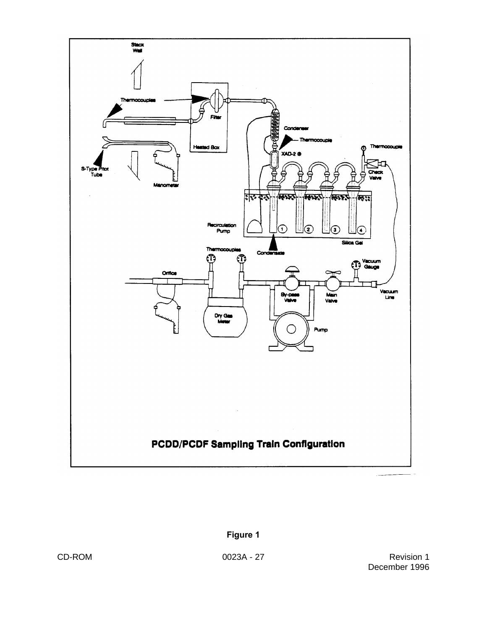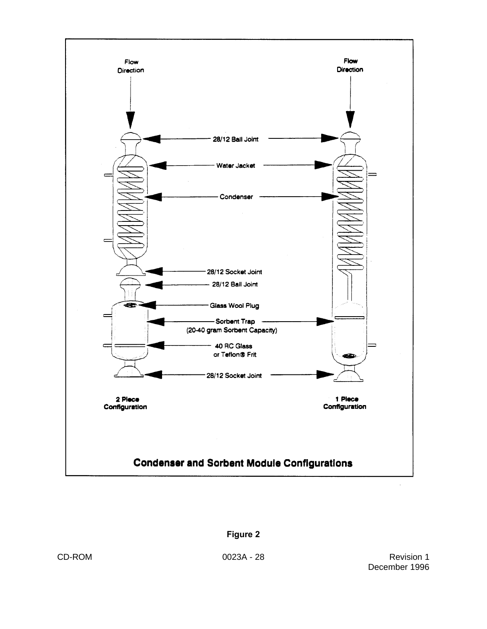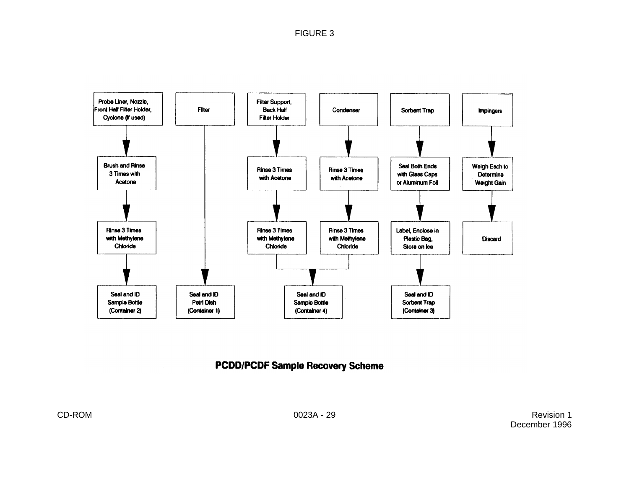FIGURE 3



# **PCDD/PCDF Sample Recovery Scheme**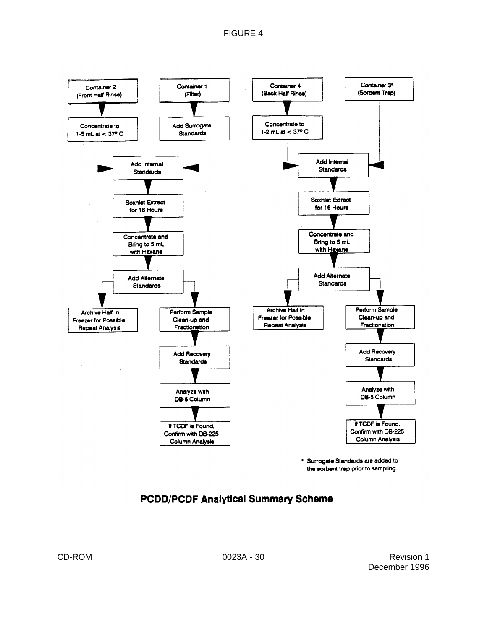

\* Surrogate Standards are added to the sorbent trap prior to sampling

# **PCDD/PCDF Analytical Summary Scheme**